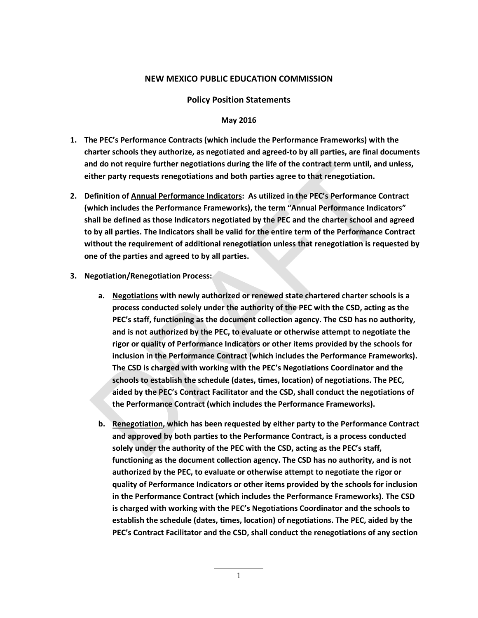## **NEW MEXICO PUBLIC EDUCATION COMMISSION**

**Policy Position Statements**

## **May 2016**

- **1. The PEC's Performance Contracts (which include the Performance Frameworks) with the charter schools they authorize, as negotiated and agreed-to by all parties, are final documents and do not require further negotiations during the life of the contract term until, and unless, either party requests renegotiations and both parties agree to that renegotiation.**
- **2. Definition of Annual Performance Indicators: As utilized in the PEC's Performance Contract (which includes the Performance Frameworks), the term "Annual Performance Indicators" shall be defined as those Indicators negotiated by the PEC and the charter school and agreed to by all parties. The Indicators shall be valid for the entire term of the Performance Contract without the requirement of additional renegotiation unless that renegotiation is requested by one of the parties and agreed to by all parties.**
- **3. Negotiation/Renegotiation Process:** 
	- **a. Negotiations with newly authorized or renewed state chartered charter schools is a process conducted solely under the authority of the PEC with the CSD, acting as the PEC's staff, functioning as the document collection agency. The CSD has no authority, and is not authorized by the PEC, to evaluate or otherwise attempt to negotiate the rigor or quality of Performance Indicators or other items provided by the schools for inclusion in the Performance Contract (which includes the Performance Frameworks). The CSD is charged with working with the PEC's Negotiations Coordinator and the schools to establish the schedule (dates, times, location) of negotiations. The PEC, aided by the PEC's Contract Facilitator and the CSD, shall conduct the negotiations of the Performance Contract (which includes the Performance Frameworks).**
	- **b. Renegotiation, which has been requested by either party to the Performance Contract and approved by both parties to the Performance Contract, is a process conducted solely under the authority of the PEC with the CSD, acting as the PEC's staff, functioning as the document collection agency. The CSD has no authority, and is not authorized by the PEC, to evaluate or otherwise attempt to negotiate the rigor or quality of Performance Indicators or other items provided by the schools for inclusion in the Performance Contract (which includes the Performance Frameworks). The CSD is charged with working with the PEC's Negotiations Coordinator and the schools to establish the schedule (dates, times, location) of negotiations. The PEC, aided by the PEC's Contract Facilitator and the CSD, shall conduct the renegotiations of any section**